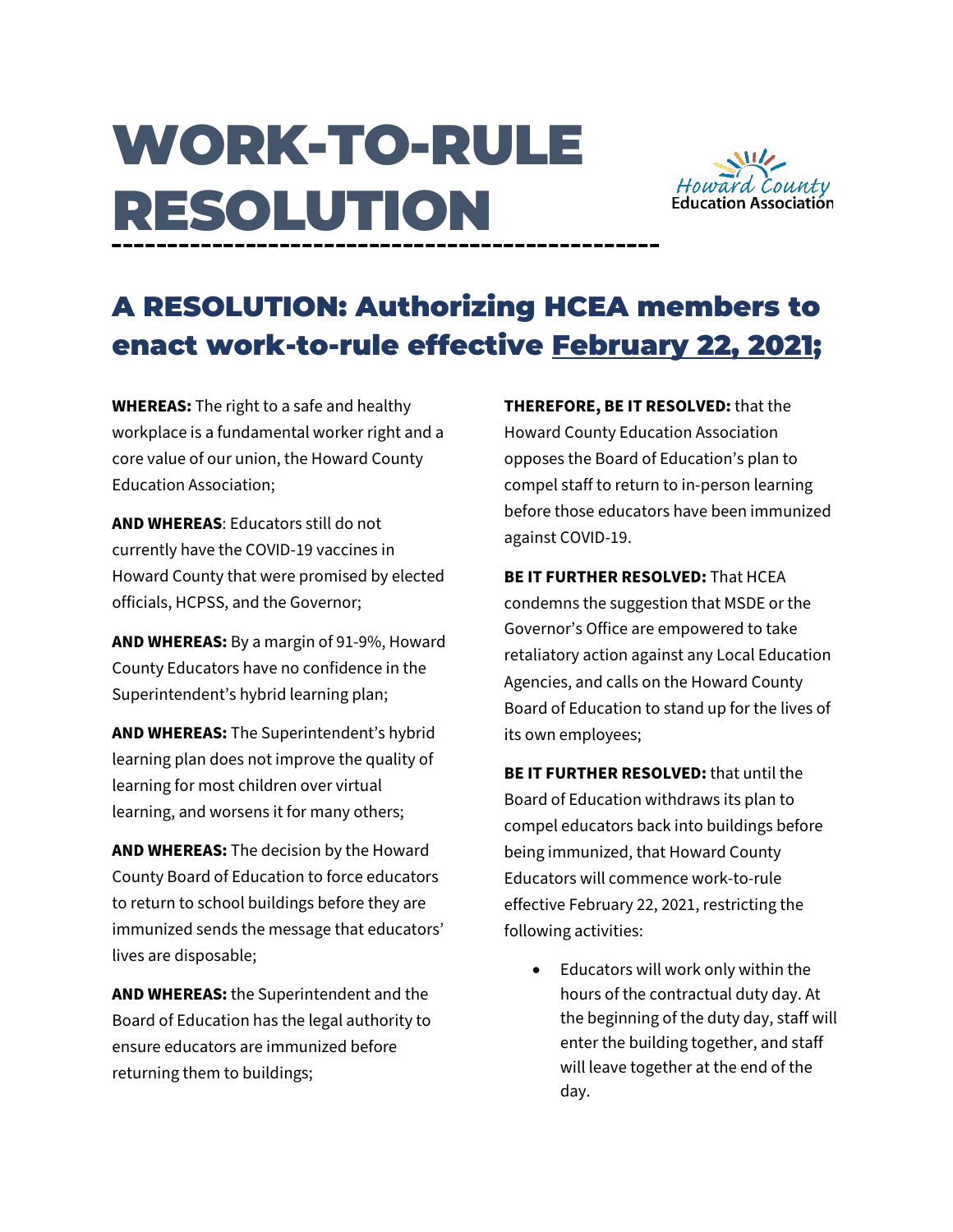## WORK-TO-RULE RESOLUTION



## A RESOLUTION: Authorizing HCEA members to enact work-to-rule effective February 22, 2021;

**WHEREAS:** The right to a safe and healthy workplace is a fundamental worker right and a core value of our union, the Howard County Education Association;

**AND WHEREAS**: Educators still do not currently have the COVID-19 vaccines in Howard County that were promised by elected officials, HCPSS, and the Governor;

**AND WHEREAS:** By a margin of 91-9%, Howard County Educators have no confidence in the Superintendent's hybrid learning plan;

**AND WHEREAS:** The Superintendent's hybrid learning plan does not improve the quality of learning for most children over virtual learning, and worsens it for many others;

**AND WHEREAS:** The decision by the Howard County Board of Education to force educators to return to school buildings before they are immunized sends the message that educators' lives are disposable;

**AND WHEREAS:** the Superintendent and the Board of Education has the legal authority to ensure educators are immunized before returning them to buildings;

**THEREFORE, BE IT RESOLVED:** that the Howard County Education Association opposes the Board of Education's plan to compel staff to return to in-person learning before those educators have been immunized against COVID-19.

**BE IT FURTHER RESOLVED:** That HCEA condemns the suggestion that MSDE or the Governor's Office are empowered to take retaliatory action against any Local Education Agencies, and calls on the Howard County Board of Education to stand up for the lives of its own employees;

**BE IT FURTHER RESOLVED:** that until the Board of Education withdraws its plan to compel educators back into buildings before being immunized, that Howard County Educators will commence work-to-rule effective February 22, 2021, restricting the following activities:

• Educators will work only within the hours of the contractual duty day. At the beginning of the duty day, staff will enter the building together, and staff will leave together at the end of the day.